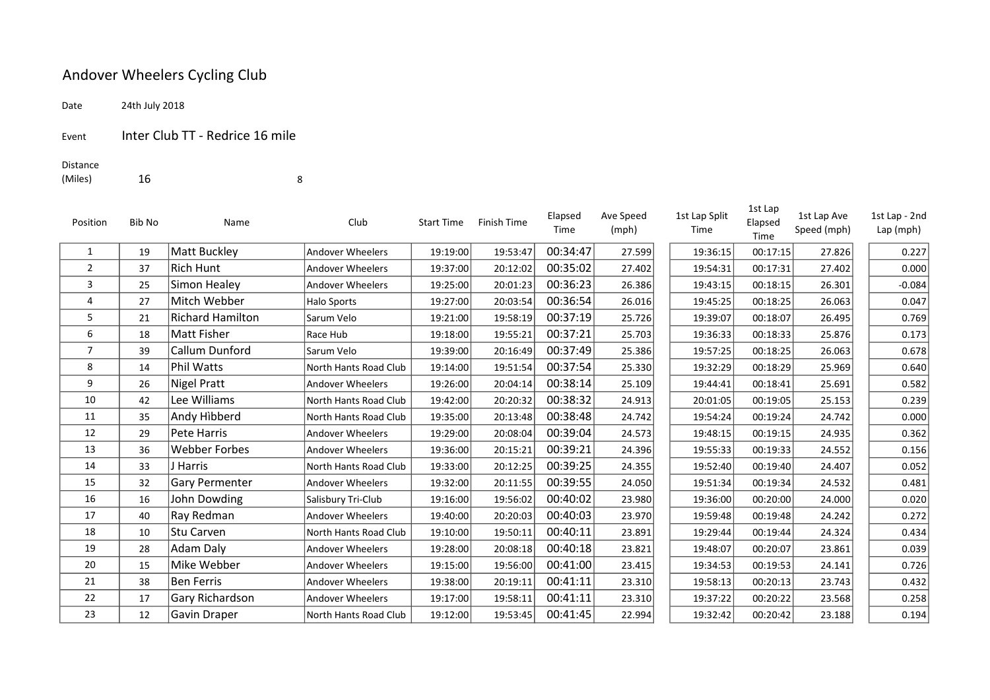## Andover Wheelers Cycling Club

Date 24th July 2018

Event Inter Club TT - Redrice 16 mile

## Distance

(Miles) 16 8

| Position       | Bib No | Name                    | Club                    | <b>Start Time</b> | <b>Finish Time</b> | Elapsed<br>Time | Ave Speed<br>(mph) | 1st Lap Split<br>Time | 1st Lap<br>Elapsed<br>Time | 1st Lap Ave<br>Speed (mph) | 1st Lap - 2nd<br>$Lap$ (mph) |
|----------------|--------|-------------------------|-------------------------|-------------------|--------------------|-----------------|--------------------|-----------------------|----------------------------|----------------------------|------------------------------|
| 1              | 19     | Matt Buckley            | <b>Andover Wheelers</b> | 19:19:00          | 19:53:47           | 00:34:47        | 27.599             | 19:36:15              | 00:17:15                   | 27.826                     | 0.227                        |
| 2              | 37     | <b>Rich Hunt</b>        | <b>Andover Wheelers</b> | 19:37:00          | 20:12:02           | 00:35:02        | 27.402             | 19:54:31              | 00:17:31                   | 27.402                     | 0.000                        |
| 3              | 25     | Simon Healey            | <b>Andover Wheelers</b> | 19:25:00          | 20:01:23           | 00:36:23        | 26.386             | 19:43:15              | 00:18:15                   | 26.301                     | $-0.084$                     |
| 4              | 27     | Mitch Webber            | Halo Sports             | 19:27:00          | 20:03:54           | 00:36:54        | 26.016             | 19:45:25              | 00:18:25                   | 26.063                     | 0.047                        |
| 5              | 21     | <b>Richard Hamilton</b> | Sarum Velo              | 19:21:00          | 19:58:19           | 00:37:19        | 25.726             | 19:39:07              | 00:18:07                   | 26.495                     | 0.769                        |
| 6              | 18     | Matt Fisher             | Race Hub                | 19:18:00          | 19:55:21           | 00:37:21        | 25.703             | 19:36:33              | 00:18:33                   | 25.876                     | 0.173                        |
| $\overline{7}$ | 39     | Callum Dunford          | Sarum Velo              | 19:39:00          | 20:16:49           | 00:37:49        | 25.386             | 19:57:25              | 00:18:25                   | 26.063                     | 0.678                        |
| 8              | 14     | <b>Phil Watts</b>       | North Hants Road Club   | 19:14:00          | 19:51:54           | 00:37:54        | 25.330             | 19:32:29              | 00:18:29                   | 25.969                     | 0.640                        |
| 9              | 26     | Nigel Pratt             | <b>Andover Wheelers</b> | 19:26:00          | 20:04:14           | 00:38:14        | 25.109             | 19:44:41              | 00:18:41                   | 25.691                     | 0.582                        |
| 10             | 42     | Lee Williams            | North Hants Road Club   | 19:42:00          | 20:20:32           | 00:38:32        | 24.913             | 20:01:05              | 00:19:05                   | 25.153                     | 0.239                        |
| 11             | 35     | Andy Hibberd            | North Hants Road Club   | 19:35:00          | 20:13:48           | 00:38:48        | 24.742             | 19:54:24              | 00:19:24                   | 24.742                     | 0.000                        |
| 12             | 29     | Pete Harris             | Andover Wheelers        | 19:29:00          | 20:08:04           | 00:39:04        | 24.573             | 19:48:15              | 00:19:15                   | 24.935                     | 0.362                        |
| 13             | 36     | <b>Webber Forbes</b>    | <b>Andover Wheelers</b> | 19:36:00          | 20:15:21           | 00:39:21        | 24.396             | 19:55:33              | 00:19:33                   | 24.552                     | 0.156                        |
| 14             | 33     | J Harris                | North Hants Road Club   | 19:33:00          | 20:12:25           | 00:39:25        | 24.355             | 19:52:40              | 00:19:40                   | 24.407                     | 0.052                        |
| 15             | 32     | Gary Permenter          | Andover Wheelers        | 19:32:00          | 20:11:55           | 00:39:55        | 24.050             | 19:51:34              | 00:19:34                   | 24.532                     | 0.481                        |
| 16             | 16     | John Dowding            | Salisbury Tri-Club      | 19:16:00          | 19:56:02           | 00:40:02        | 23.980             | 19:36:00              | 00:20:00                   | 24.000                     | 0.020                        |
| 17             | 40     | Ray Redman              | <b>Andover Wheelers</b> | 19:40:00          | 20:20:03           | 00:40:03        | 23.970             | 19:59:48              | 00:19:48                   | 24.242                     | 0.272                        |
| 18             | 10     | Stu Carven              | North Hants Road Club   | 19:10:00          | 19:50:11           | 00:40:11        | 23.891             | 19:29:44              | 00:19:44                   | 24.324                     | 0.434                        |
| 19             | 28     | Adam Daly               | Andover Wheelers        | 19:28:00          | 20:08:18           | 00:40:18        | 23.821             | 19:48:07              | 00:20:07                   | 23.861                     | 0.039                        |
| 20             | 15     | Mike Webber             | Andover Wheelers        | 19:15:00          | 19:56:00           | 00:41:00        | 23.415             | 19:34:53              | 00:19:53                   | 24.141                     | 0.726                        |
| 21             | 38     | <b>Ben Ferris</b>       | <b>Andover Wheelers</b> | 19:38:00          | 20:19:11           | 00:41:11        | 23.310             | 19:58:13              | 00:20:13                   | 23.743                     | 0.432                        |
| 22             | 17     | Gary Richardson         | <b>Andover Wheelers</b> | 19:17:00          | 19:58:11           | 00:41:11        | 23.310             | 19:37:22              | 00:20:22                   | 23.568                     | 0.258                        |
| 23             | 12     | Gavin Draper            | North Hants Road Club   | 19:12:00          | 19:53:45           | 00:41:45        | 22.994             | 19:32:42              | 00:20:42                   | 23.188                     | 0.194                        |